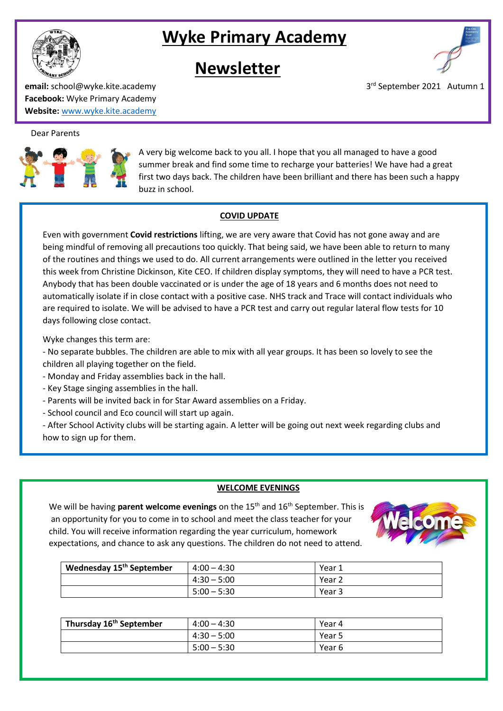

# **Wyke Primary Academy**

# **Newsletter**



**email:** school@wyke.kite.academy 3 **Facebook:** Wyke Primary Academy **Website:** [www.wyke.kite.academy](http://www.wyke.kite.academy/)

# Dear Parents

l,



A very big welcome back to you all. I hope that you all managed to have a good summer break and find some time to recharge your batteries! We have had a great first two days back. The children have been brilliant and there has been such a happy buzz in school.

# **COVID UPDATE**

Even with government **Covid restrictions** lifting, we are very aware that Covid has not gone away and are being mindful of removing all precautions too quickly. That being said, we have been able to return to many of the routines and things we used to do. All current arrangements were outlined in the letter you received this week from Christine Dickinson, Kite CEO. If children display symptoms, they will need to have a PCR test. Anybody that has been double vaccinated or is under the age of 18 years and 6 months does not need to automatically isolate if in close contact with a positive case. NHS track and Trace will contact individuals who are required to isolate. We will be advised to have a PCR test and carry out regular lateral flow tests for 10 days following close contact.

Wyke changes this term are:

- No separate bubbles. The children are able to mix with all year groups. It has been so lovely to see the children all playing together on the field.

- Monday and Friday assemblies back in the hall.
- Key Stage singing assemblies in the hall.
- Parents will be invited back in for Star Award assemblies on a Friday.
- School council and Eco council will start up again.

- After School Activity clubs will be starting again. A letter will be going out next week regarding clubs and how to sign up for them.

# **WELCOME EVENINGS**

We will be having **parent welcome evenings** on the 15<sup>th</sup> and 16<sup>th</sup> September. This is an opportunity for you to come in to school and meet the class teacher for your child. You will receive information regarding the year curriculum, homework expectations, and chance to ask any questions. The children do not need to attend.



| Wednesday 15 <sup>th</sup> September | $4:00 - 4:30$ | Year 1 |
|--------------------------------------|---------------|--------|
|                                      | $4:30 - 5:00$ | Year 2 |
|                                      | $5:00 - 5:30$ | Year 3 |

| Thursday 16 <sup>th</sup> September | $4:00 - 4:30$ | Year 4 |
|-------------------------------------|---------------|--------|
|                                     | $4:30 - 5:00$ | Year 5 |
|                                     | $5:00 - 5:30$ | Year 6 |

3rd September 2021 Autumn 1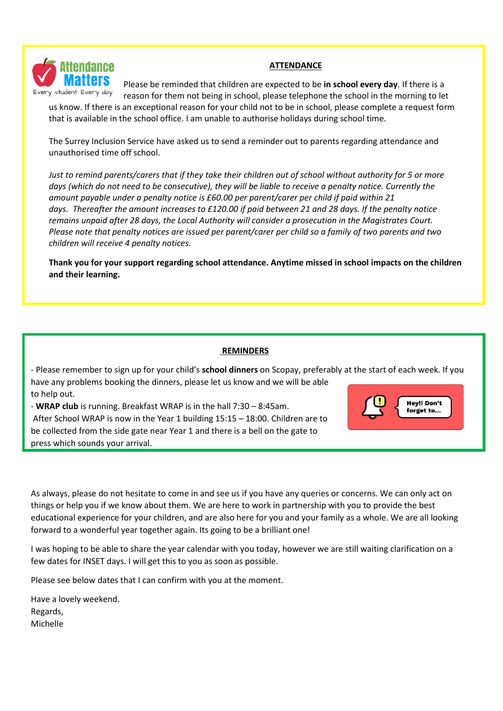

# **ATTENDANCE**

Please be reminded that children are expected to be **in school every day**. If there is a reason for them not being in school, please telephone the school in the morning to let

us know. If there is an exceptional reason for your child not to be in school, please complete a request form that is available in the school office. I am unable to authorise holidays during school time.

The Surrey Inclusion Service have asked us to send a reminder out to parents regarding attendance and unauthorised time off school.

Just to remind parents/carers that if they take their children out of school without authority for 5 or more days (which do not need to be consecutive), they will be liable to receive a penalty notice. Currently the *amount payable under a penalty notice is £60.00 per parent/carer per child if paid within 21* days. Thereafter the amount increases to £120.00 if paid between 21 and 28 days. If the penalty notice *remains unpaid after 28 days, the Local Authority will consider a prosecution in the Magistrates Court.* Please note that penalty notices are issued per parent/carer per child so a family of two parents and two *children will receive 4 penalty notices.*

**Thank you for your support regarding school attendance. Anytime missed in school impacts on the children and their learning.**

# **REMINDERS**

- Please remember to sign up for your child's **school dinners** on Scopay, preferably at the start of each week. If you have any problems booking the dinners, please let us know and we will be able to help out.

- **WRAP club** is running. Breakfast WRAP is in the hall 7:30 – 8:45am. After School WRAP is now in the Year 1 building 15:15 – 18:00. Children are to be collected from the side gate near Year 1 and there is a bell on the gate to press which sounds your arrival.



As always, please do not hesitate to come in and see us if you have any queries or concerns. We can only act on things or help you if we know about them. We are here to work in partnership with you to provide the best educational experience for your children, and are also here for you and your family as a whole. We are all looking forward to a wonderful year together again. Its going to be a brilliant one!

I was hoping to be able to share the year calendar with you today, however we are still waiting clarification on a few dates for INSET days. I will get this to you as soon as possible.

Please see below dates that I can confirm with you at the moment.

Have a lovely weekend. Regards, Michelle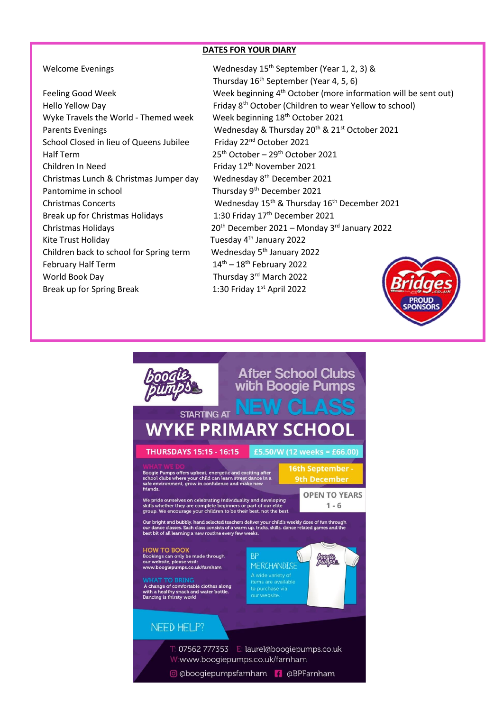## **DATES FOR YOUR DIARY**

| <b>Feeling Good Week</b>                | Week beginning 4 <sup>th</sup> Octol              |
|-----------------------------------------|---------------------------------------------------|
| Hello Yellow Day                        | Friday 8 <sup>th</sup> October (Childr            |
| Wyke Travels the World - Themed week    | Week beginning 18 <sup>th</sup> Octo              |
| <b>Parents Evenings</b>                 | Wednesday & Thursday 2                            |
| School Closed in lieu of Queens Jubilee | Friday 22 <sup>nd</sup> October 2021              |
| Half Term                               | 25 <sup>th</sup> October - 29 <sup>th</sup> Octob |
| Children In Need                        | Friday 12th November 20.                          |
| Christmas Lunch & Christmas Jumper day  | Wednesday 8 <sup>th</sup> Decembe                 |
| Pantomime in school                     | Thursday 9 <sup>th</sup> December 2               |
| <b>Christmas Concerts</b>               | Wednesday 15 <sup>th</sup> & Thurs                |
| Break up for Christmas Holidays         | 1:30 Friday 17 <sup>th</sup> Decembe              |
| <b>Christmas Holidays</b>               | 20 <sup>th</sup> December 2021 - Mo               |
| Kite Trust Holiday                      | Tuesday 4 <sup>th</sup> January 2022              |
| Children back to school for Spring term | Wednesday 5 <sup>th</sup> January 20              |
| <b>February Half Term</b>               | $14^{\text{th}} - 18^{\text{th}}$ February 2022   |
| World Book Day                          | Thursday 3rd March 2022                           |
| Break up for Spring Break               | 1:30 Friday 1st April 2022                        |

Welcome Evenings Wednesday 15<sup>th</sup> September (Year 1, 2, 3) & Thursday 16th September (Year 4, 5, 6) Feeling Good Week Meek Week beginning 4<sup>th</sup> October (more information will be sent out) Hello Yellow Day **Friday 8<sup>th</sup> October (Children to wear Yellow to school**) Hello Week beginning 18<sup>th</sup> October 2021 Wednesday & Thursday 20<sup>th</sup> & 21st October 2021 Friday 22<sup>nd</sup> October 2021  $25<sup>th</sup>$  October – 29<sup>th</sup> October 2021 Friday 12<sup>th</sup> November 2021 Wednesday 8<sup>th</sup> December 2021 Thursday 9<sup>th</sup> December 2021 Wednesday 15<sup>th</sup> & Thursday 16<sup>th</sup> December 2021 1:30 Friday 17<sup>th</sup> December 2021  $20<sup>th</sup>$  December 2021 – Monday 3<sup>rd</sup> January 2022 Tuesday 4<sup>th</sup> January 2022 Wednesday 5<sup>th</sup> January 2022  $14<sup>th</sup> - 18<sup>th</sup>$  February 2022 Thursday 3rd March 2022



@ @boogiepumpsfamham | @BPFamham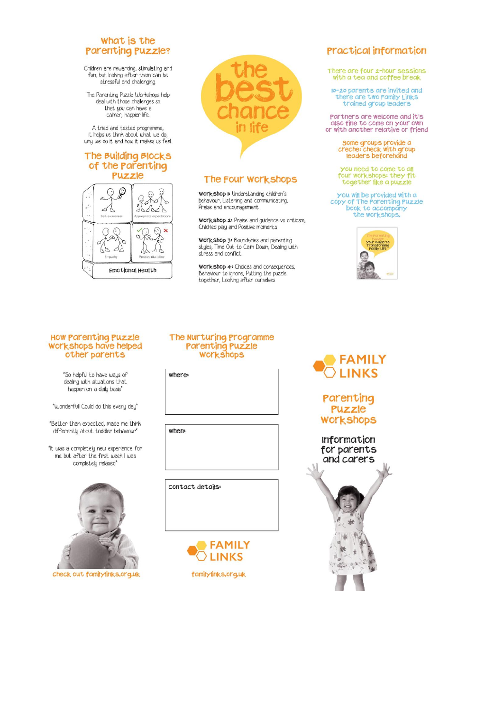# What is the **Parenting Puzzle?**

Children are rewarding, stimulating and<br>fun, but looking after them can be<br>stressful and challenging.

The Parenting Puzzle Workshops help deal with those challenges so that you can have a calmer, happier life.

A tried and tested programme, it helps us think about what we do, why we do it and how it makes us feel

### The Building Blocks of the parenting Puzzle





# The Four Workshops

Workshop I: Understanding children's behaviour, Listening and communicating,<br>Praise and encouragement

workshop 2: Praise and guidance vs criticsm, Child-led play and Positive moments

Workshop 3: Boundaries and parenting<br>styles, Time Out to Calm Down, Dealing with stress and conflict

Work shop 4: Choices and consequences. Behaviour to ignore, Putting the puzzle together, Looking after ourselves

# **Practical information**

There are four 2-hour sessions<br>with a tea and coffee break

10-20 parents are invited and there are two Family Links<br>trained group leaders

Partners are welcome and it's also fine to come on your own or with another relative or friend

Some groups provide a<br>creche: check with group<br>leaders beforehand

you need to come to all<br>four workshops: they fit<br>together like a puzzle

you will be provided with a<br>copy of The Parenting Puzzle<br>book to accompany the workshops.



### **HOW Parenting Puzzle** workshops have helped other parents

"So helpful to have ways of dealing with situations that happen on a daily basis"

"Wonderfull Could do this every day"

"Better than expected, made me think differently about toddler behaviour"

"It was a completely new experience for me but after the first week I was completely relaxed"



check out familylinks.org.uk

# The Nurturing Programme Parenting Puzzle<br>Workshops

where:

when:

contact details:





Parenting Puzzle **WOLKSHODS**